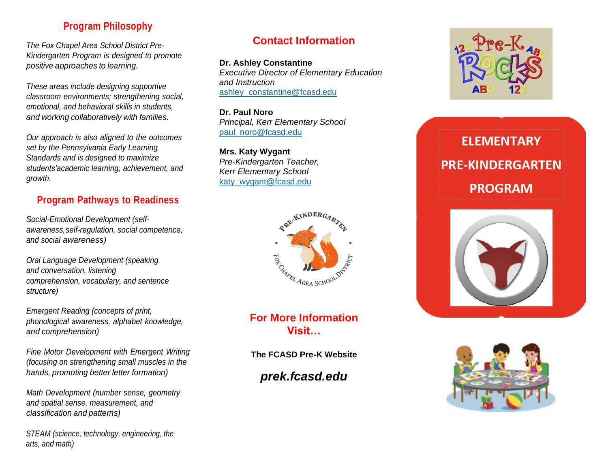# **Program Philosophy**

*The Fox Chapel Area School District Pre-Kindergarten Program is designed to promote positive approaches to learning.*

*These areas include designing supportive classroom environments; strengthening social, emotional, and behavioral skills in students, and working collaboratively with families.*

*Our approach is also aligned to the outcomes set by the Pennsylvania Early Learning Standards and is designed to maximize students'academic learning, achievement, and growth.*

# **Program Pathways to Readiness**

*Social-Emotional Development (selfawareness, self-regulation, social competence, and social awareness)*

*Oral Language Development (speaking and conversation, listening comprehension, vocabulary, and sentence structure)*

*Emergent Reading (concepts of print, phonological awareness, alphabet knowledge, and comprehension)*

*Fine Motor Development with Emergent Writing (focusing on strengthening small muscles in the hands, promoting better letter formation)*

*Math Development (number sense, geometry and spatial sense, measurement, and classification and patterns)*

 *STEAM (science, technology, engineering, the arts, and math)*

## **Contact Information**

**Dr. Ashley Constantine** *Executive Director of Elementary Education and Instruction* [ashley\\_constantine@fcasd.edu](mailto:ashley_constantine@fcasd.edu)

**Dr. Paul Noro** *Principal, Kerr Elementary School* [paul\\_noro@fcasd.edu](mailto:paul_noro@fcasd.edu)

**Mrs. Katy Wygant** *Pre-Kindergarten Teacher, Kerr Elementary School* [katy\\_wygant@fcasd.edu](mailto:katy_wygant@fcasd.edu)



**For More Information Visit…**

**The FCASD Pre-K Website**

*prek.fcasd.edu*



# **ELEMENTARY PRE-KINDERGARTEN PROGRAM**